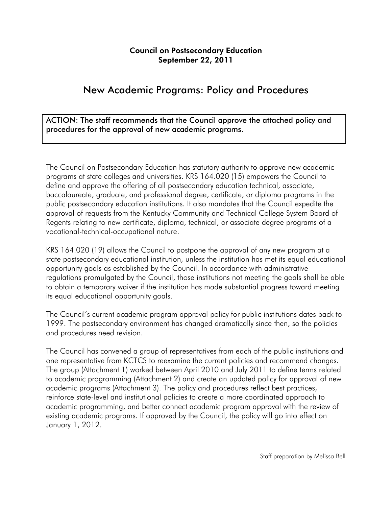#### Council on Postsecondary Education September 22, 2011

# New Academic Programs: Policy and Procedures

ACTION: The staff recommends that the Council approve the attached policy and procedures for the approval of new academic programs.

The Council on Postsecondary Education has statutory authority to approve new academic programs at state colleges and universities. KRS 164.020 (15) empowers the Council to define and approve the offering of all postsecondary education technical, associate, baccalaureate, graduate, and professional degree, certificate, or diploma programs in the public postsecondary education institutions. It also mandates that the Council expedite the approval of requests from the Kentucky Community and Technical College System Board of Regents relating to new certificate, diploma, technical, or associate degree programs of a vocational-technical-occupational nature.

KRS 164.020 (19) allows the Council to postpone the approval of any new program at a state postsecondary educational institution, unless the institution has met its equal educational opportunity goals as established by the Council. In accordance with administrative regulations promulgated by the Council, those institutions not meeting the goals shall be able to obtain a temporary waiver if the institution has made substantial progress toward meeting its equal educational opportunity goals.

The Council's current academic program approval policy for public institutions dates back to 1999. The postsecondary environment has changed dramatically since then, so the policies and procedures need revision.

The Council has convened a group of representatives from each of the public institutions and one representative from KCTCS to reexamine the current policies and recommend changes. The group (Attachment 1) worked between April 2010 and July 2011 to define terms related to academic programming (Attachment 2) and create an updated policy for approval of new academic programs (Attachment 3). The policy and procedures reflect best practices, reinforce state-level and institutional policies to create a more coordinated approach to academic programming, and better connect academic program approval with the review of existing academic programs. If approved by the Council, the policy will go into effect on January 1, 2012.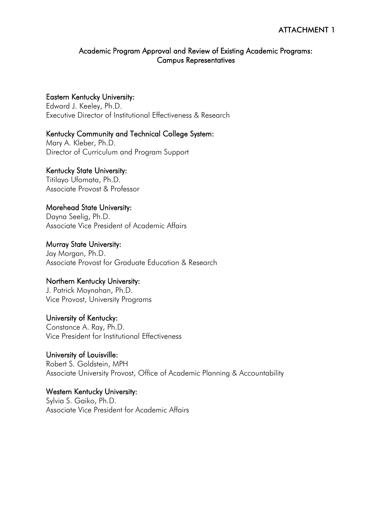#### Academic Program Approval and Review of Existing Academic Programs: Campus Representatives

#### Eastern Kentucky University:

Edward J. Keeley, Ph.D. Executive Director of Institutional Effectiveness & Research

## Kentucky Community and Technical College System:

Mary A. Kleber, Ph.D. Director of Curriculum and Program Support

#### Kentucky State University:

Titilayo Ufomata, Ph.D. Associate Provost & Professor

## Morehead State University:

Dayna Seelig, Ph.D. Associate Vice President of Academic Affairs

#### Murray State University:

Jay Morgan, Ph.D. Associate Provost for Graduate Education & Research

#### Northern Kentucky University:

J. Patrick Moynahan, Ph.D. Vice Provost, University Programs

#### University of Kentucky:

Constance A. Ray, Ph.D. Vice President for Institutional Effectiveness

## University of Louisville:

Robert S. Goldstein, MPH Associate University Provost, Office of Academic Planning & Accountability

#### Western Kentucky University: Sylvia S. Gaiko, Ph.D.

Associate Vice President for Academic Affairs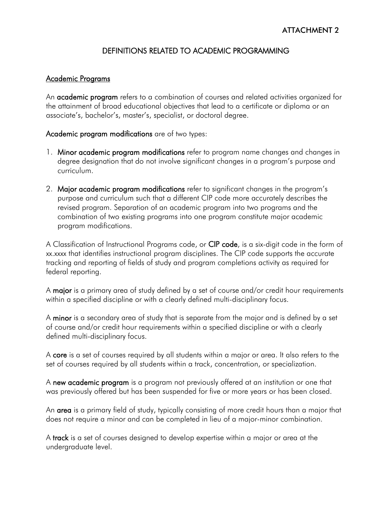# DEFINITIONS RELATED TO ACADEMIC PROGRAMMING

#### Academic Programs

An **academic program** refers to a combination of courses and related activities organized for the attainment of broad educational objectives that lead to a certificate or diploma or an associate's, bachelor's, master's, specialist, or doctoral degree.

Academic program modifications are of two types:

- 1. Minor academic program modifications refer to program name changes and changes in degree designation that do not involve significant changes in a program's purpose and curriculum.
- 2. Major academic program modifications refer to significant changes in the program's purpose and curriculum such that a different CIP code more accurately describes the revised program. Separation of an academic program into two programs and the combination of two existing programs into one program constitute major academic program modifications.

A Classification of Instructional Programs code, or CIP code, is a six-digit code in the form of xx.xxxx that identifies instructional program disciplines. The CIP code supports the accurate tracking and reporting of fields of study and program completions activity as required for federal reporting.

A major is a primary area of study defined by a set of course and/or credit hour requirements within a specified discipline or with a clearly defined multi-disciplinary focus.

A minor is a secondary area of study that is separate from the major and is defined by a set of course and/or credit hour requirements within a specified discipline or with a clearly defined multi-disciplinary focus.

A core is a set of courses required by all students within a major or area. It also refers to the set of courses required by all students within a track, concentration, or specialization.

A new academic program is a program not previously offered at an institution or one that was previously offered but has been suspended for five or more years or has been closed.

An area is a primary field of study, typically consisting of more credit hours than a major that does not require a minor and can be completed in lieu of a major-minor combination.

A track is a set of courses designed to develop expertise within a major or area at the undergraduate level.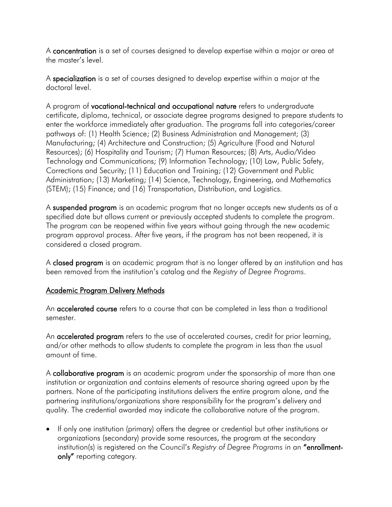A concentration is a set of courses designed to develop expertise within a major or area at the master's level.

A specialization is a set of courses designed to develop expertise within a major at the doctoral level.

A program of vocational-technical and occupational nature refers to undergraduate certificate, diploma, technical, or associate degree programs designed to prepare students to enter the workforce immediately after graduation. The programs fall into categories/career pathways of: (1) Health Science; (2) Business Administration and Management; (3) Manufacturing; (4) Architecture and Construction; (5) Agriculture (Food and Natural Resources); (6) Hospitality and Tourism; (7) Human Resources; (8) Arts, Audio/Video Technology and Communications; (9) Information Technology; (10) Law, Public Safety, Corrections and Security; (11) Education and Training; (12) Government and Public Administration; (13) Marketing; (14) Science, Technology, Engineering, and Mathematics (STEM); (15) Finance; and (16) Transportation, Distribution, and Logistics.

A suspended program is an academic program that no longer accepts new students as of a specified date but allows current or previously accepted students to complete the program. The program can be reopened within five years without going through the new academic program approval process. After five years, if the program has not been reopened, it is considered a closed program.

A closed program is an academic program that is no longer offered by an institution and has been removed from the institution's catalog and the *Registry of Degree Programs*.

## Academic Program Delivery Methods

An **accelerated course** refers to a course that can be completed in less than a traditional semester.

An **accelerated program** refers to the use of accelerated courses, credit for prior learning, and/or other methods to allow students to complete the program in less than the usual amount of time.

A **collaborative program** is an academic program under the sponsorship of more than one institution or organization and contains elements of resource sharing agreed upon by the partners. None of the participating institutions delivers the entire program alone, and the partnering institutions/organizations share responsibility for the program's delivery and quality. The credential awarded may indicate the collaborative nature of the program.

• If only one institution (primary) offers the degree or credential but other institutions or organizations (secondary) provide some resources, the program at the secondary institution(s) is registered on the Council's *Registry of Degree Programs* in an "enrollmentonly" reporting category.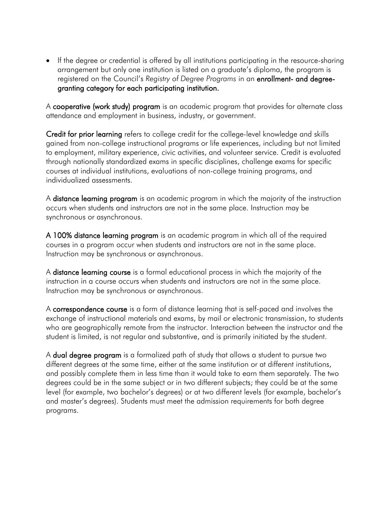• If the degree or credential is offered by all institutions participating in the resource-sharing arrangement but only one institution is listed on a graduate's diploma, the program is registered on the Council's *Registry of Degree Programs* in an enrollment- and degreegranting category for each participating institution.

A cooperative (work study) program is an academic program that provides for alternate class attendance and employment in business, industry, or government.

Credit for prior learning refers to college credit for the college-level knowledge and skills gained from non-college instructional programs or life experiences, including but not limited to employment, military experience, civic activities, and volunteer service. Credit is evaluated through nationally standardized exams in specific disciplines, challenge exams for specific courses at individual institutions, evaluations of non-college training programs, and individualized assessments.

A **distance learning program** is an academic program in which the majority of the instruction occurs when students and instructors are not in the same place. Instruction may be synchronous or asynchronous.

A 100% distance learning program is an academic program in which all of the required courses in a program occur when students and instructors are not in the same place. Instruction may be synchronous or asynchronous.

A **distance learning course** is a formal educational process in which the majority of the instruction in a course occurs when students and instructors are not in the same place. Instruction may be synchronous or asynchronous.

A correspondence course is a form of distance learning that is self-paced and involves the exchange of instructional materials and exams, by mail or electronic transmission, to students who are geographically remote from the instructor. Interaction between the instructor and the student is limited, is not regular and substantive, and is primarily initiated by the student.

A **dual degree program** is a formalized path of study that allows a student to pursue two different degrees at the same time, either at the same institution or at different institutions, and possibly complete them in less time than it would take to earn them separately. The two degrees could be in the same subject or in two different subjects; they could be at the same level (for example, two bachelor's degrees) or at two different levels (for example, bachelor's and master's degrees). Students must meet the admission requirements for both degree programs.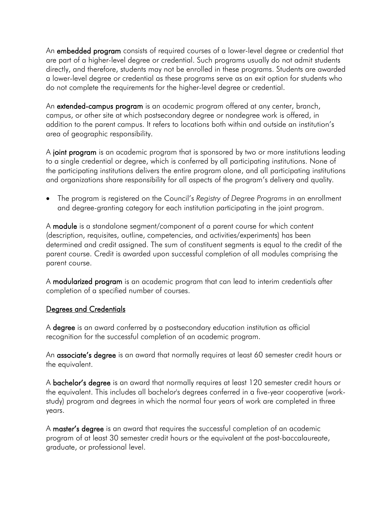An **embedded program** consists of required courses of a lower-level degree or credential that are part of a higher-level degree or credential. Such programs usually do not admit students directly, and therefore, students may not be enrolled in these programs. Students are awarded a lower-level degree or credential as these programs serve as an exit option for students who do not complete the requirements for the higher-level degree or credential.

An **extended-campus program** is an academic program offered at any center, branch, campus, or other site at which postsecondary degree or nondegree work is offered, in addition to the parent campus. It refers to locations both within and outside an institution's [area of geographic responsibility.](http://www.cpe.ky.gov/NR/rdonlyres/CF332EBE-ECB2-485C-8FEC-BF8AB6E65975/0/RegionalStewardshipAppendixMap.pdf)

A joint program is an academic program that is sponsored by two or more institutions leading to a single credential or degree, which is conferred by all participating institutions. None of the participating institutions delivers the entire program alone, and all participating institutions and organizations share responsibility for all aspects of the program's delivery and quality.

• The program is registered on the Council's *Registry of Degree Programs* in an enrollment and degree-granting category for each institution participating in the joint program.

A module is a standalone segment/component of a parent course for which content (description, requisites, outline, competencies, and activities/experiments) has been determined and credit assigned. The sum of constituent segments is equal to the credit of the parent course. Credit is awarded upon successful completion of all modules comprising the parent course.

A modularized program is an academic program that can lead to interim credentials after completion of a specified number of courses.

## Degrees and Credentials

A degree is an award conferred by a postsecondary education institution as official recognition for the successful completion of an academic program.

An **associate's degree** is an award that normally requires at least 60 semester credit hours or the equivalent.

A **bachelor's degree** is an award that normally requires at least 120 semester credit hours or the equivalent. This includes all bachelor's degrees conferred in a five-year cooperative (workstudy) program and degrees in which the normal four years of work are completed in three years.

A master's degree is an award that requires the successful completion of an academic program of at least 30 semester credit hours or the equivalent at the post-baccalaureate, graduate, or professional level.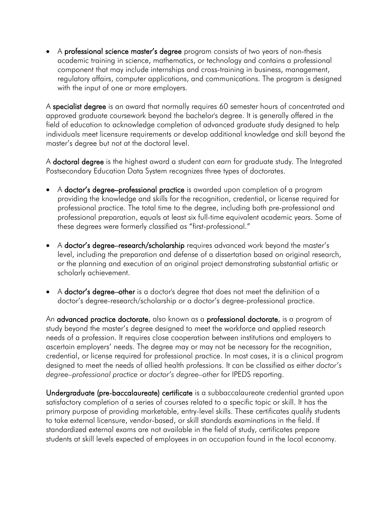• A professional science master's degree program consists of two years of non-thesis academic training in science, mathematics, or technology and contains a professional component that may include internships and cross-training in business, management, regulatory affairs, computer applications, and communications. The program is designed with the input of one or more employers.

A specialist degree is an award that normally requires 60 semester hours of concentrated and approved graduate coursework beyond the bachelor's degree. It is generally offered in the field of education to acknowledge completion of advanced graduate study designed to help individuals meet licensure requirements or develop additional knowledge and skill beyond the master's degree but not at the doctoral level.

A **doctoral degree** is the highest award a student can earn for graduate study. The Integrated Postsecondary Education Data System recognizes three types of doctorates.

- A doctor's degree–professional practice is awarded upon completion of a program providing the knowledge and skills for the recognition, credential, or license required for professional practice. The total time to the degree, including both pre-professional and professional preparation, equals at least six full-time equivalent academic years. Some of these degrees were formerly classified as "first-professional."
- A doctor's degree–research/scholarship requires advanced work beyond the master's level, including the preparation and defense of a dissertation based on original research, or the planning and execution of an original project demonstrating substantial artistic or scholarly achievement.
- A **doctor's degree–other** is a doctor's degree that does not meet the definition of a [doctor's degree-research/scholarship](http://nces.ed.gov/ipeds/glossary/index.asp?id=941) or a [doctor's degree-professional practice.](http://nces.ed.gov/ipeds/glossary/index.asp?id=942)

An **advanced practice doctorate**, also known as a **professional doctorate**, is a program of study beyond the master's degree designed to meet the workforce and applied research needs of a profession. It requires close cooperation between institutions and employers to ascertain employers' needs. The degree may or may not be necessary for the recognition, credential, or license required for professional practice. In most cases, it is a clinical program designed to meet the needs of allied health professions. It can be classified as either *doctor's degree–professional practice* or *doctor's degree–other* for IPEDS reporting.

Undergraduate (pre-baccalaureate) certificate is a subbaccalaureate credential granted upon satisfactory completion of a series of courses related to a specific topic or skill. It has the primary purpose of providing marketable, entry-level skills. These certificates qualify students to take external licensure, vendor-based, or skill standards examinations in the field. If standardized external exams are not available in the field of study, certificates prepare students at skill levels expected of employees in an occupation found in the local economy.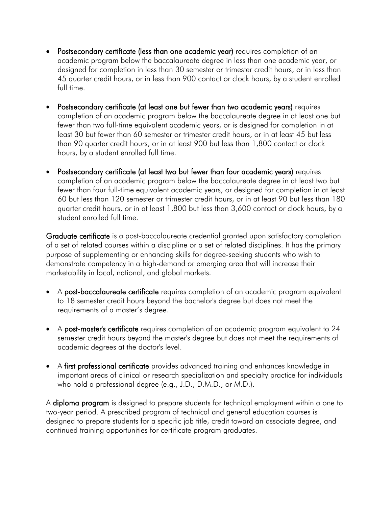- Postsecondary certificate (less than one academic year) requires completion of an academic program below the baccalaureate degree in less than one academic year, or designed for completion in less than 30 semester or trimester credit hours, or in less than 45 quarter credit hours, or in less than 900 contact or clock hours, by a student enrolled full time.
- Postsecondary certificate (at least one but fewer than two academic years) requires completion of an academic program below the baccalaureate degree in at least one but fewer than two full-time equivalent academic years, or is designed for completion in at least 30 but fewer than 60 semester or trimester credit hours, or in at least 45 but less than 90 quarter credit hours, or in at least 900 but less than 1,800 contact or clock hours, by a student enrolled full time.
- Postsecondary certificate (at least two but fewer than four academic years) requires completion of an academic program below the baccalaureate degree in at least two but fewer than four full-time equivalent academic years, or designed for completion in at least 60 but less than 120 semester or trimester credit hours, or in at least 90 but less than 180 quarter credit hours, or in at least 1,800 but less than 3,600 contact or clock hours, by a student enrolled full time.

Graduate certificate is a post-baccalaureate credential granted upon satisfactory completion of a set of related courses within a discipline or a set of related disciplines. It has the primary purpose of supplementing or enhancing skills for degree-seeking students who wish to demonstrate competency in a high-demand or emerging area that will increase their marketability in local, national, and global markets.

- A **post-baccalaureate certificate** requires completion of an academic program equivalent to 18 semester credit hours beyond the bachelor's degree but does not meet the requirements of a master's degree.
- A post-master's certificate requires completion of an academic program equivalent to 24 semester credit hours beyond the master's degree but does not meet the requirements of academic degrees at the doctor's level.
- A first professional certificate provides advanced training and enhances knowledge in important areas of clinical or research specialization and specialty practice for individuals who hold a professional degree (e.g., J.D., D.M.D., or M.D.).

A **diploma program** is designed to prepare students for technical employment within a one to two-year period. A prescribed program of technical and general education courses is designed to prepare students for a specific job title, credit toward an associate degree, and continued training opportunities for certificate program graduates.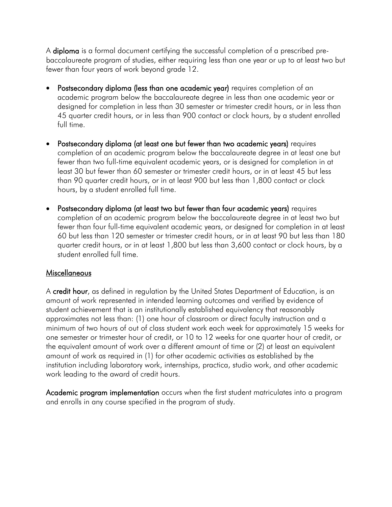A **diploma** is a formal document certifying the successful completion of a prescribed prebaccalaureate program of studies, either requiring less than one year or up to at least two but fewer than four years of work beyond grade 12.

- Postsecondary diploma (less than one academic year) requires completion of an academic program below the baccalaureate degree in less than one academic year or designed for completion in less than 30 semester or trimester credit hours, or in less than 45 quarter credit hours, or in less than 900 contact or clock hours, by a student enrolled full time.
- Postsecondary diploma (at least one but fewer than two academic years) requires completion of an academic program below the baccalaureate degree in at least one but fewer than two full-time equivalent academic years, or is designed for completion in at least 30 but fewer than 60 semester or trimester credit hours, or in at least 45 but less than 90 quarter credit hours, or in at least 900 but less than 1,800 contact or clock hours, by a student enrolled full time.
- Postsecondary diploma (at least two but fewer than four academic years) requires completion of an academic program below the baccalaureate degree in at least two but fewer than four full-time equivalent academic years, or designed for completion in at least 60 but less than 120 semester or trimester credit hours, or in at least 90 but less than 180 quarter credit hours, or in at least 1,800 but less than 3,600 contact or clock hours, by a student enrolled full time.

## **Miscellaneous**

A credit hour, as defined in regulation by the United States Department of Education, is an amount of work represented in intended learning outcomes and verified by evidence of student achievement that is an institutionally established equivalency that reasonably approximates not less than: (1) one hour of classroom or direct faculty instruction and a minimum of two hours of out of class student work each week for approximately 15 weeks for one semester or trimester hour of credit, or 10 to 12 weeks for one quarter hour of credit, or the equivalent amount of work over a different amount of time or (2) at least an equivalent amount of work as required in (1) for other academic activities as established by the institution including laboratory work, internships, practica, studio work, and other academic work leading to the award of credit hours.

Academic program implementation occurs when the first student matriculates into a program and enrolls in any course specified in the program of study.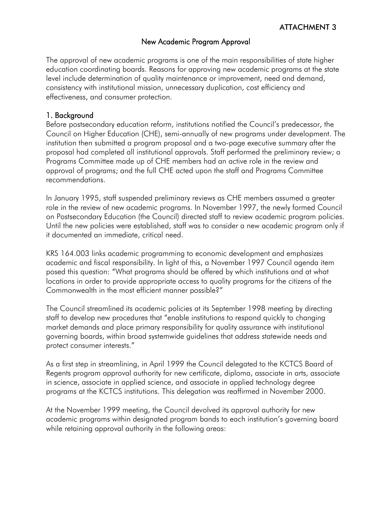#### New Academic Program Approval

The approval of new academic programs is one of the main responsibilities of state higher education coordinating boards. Reasons for approving new academic programs at the state level include determination of quality maintenance or improvement, need and demand, consistency with institutional mission, unnecessary duplication, cost efficiency and effectiveness, and consumer protection.

#### 1. Background

Before postsecondary education reform, institutions notified the Council's predecessor, the Council on Higher Education (CHE), semi-annually of new programs under development. The institution then submitted a program proposal and a two-page executive summary after the proposal had completed all institutional approvals. Staff performed the preliminary review; a Programs Committee made up of CHE members had an active role in the review and approval of programs; and the full CHE acted upon the staff and Programs Committee recommendations.

In January 1995, staff suspended preliminary reviews as CHE members assumed a greater role in the review of new academic programs. In November 1997, the newly formed Council on Postsecondary Education (the Council) directed staff to review academic program policies. Until the new policies were established, staff was to consider a new academic program only if it documented an immediate, critical need.

KRS 164.003 links academic programming to economic development and emphasizes academic and fiscal responsibility. In light of this, a November 1997 Council agenda item posed this question: "What programs should be offered by which institutions and at what locations in order to provide appropriate access to quality programs for the citizens of the Commonwealth in the most efficient manner possible?"

The Council streamlined its academic policies at its September 1998 meeting by directing staff to develop new procedures that "enable institutions to respond quickly to changing market demands and place primary responsibility for quality assurance with institutional governing boards, within broad systemwide guidelines that address statewide needs and protect consumer interests."

As a first step in streamlining, in April 1999 the Council delegated to the KCTCS Board of Regents program approval authority for new certificate, diploma, associate in arts, associate in science, associate in applied science, and associate in applied technology degree programs at the KCTCS institutions. This delegation was reaffirmed in November 2000.

<span id="page-9-0"></span>At the November 1999 meeting, the Council devolved its approval authority for new academic programs within designated program bands to each institution's governing board while retaining approval authority in the following areas: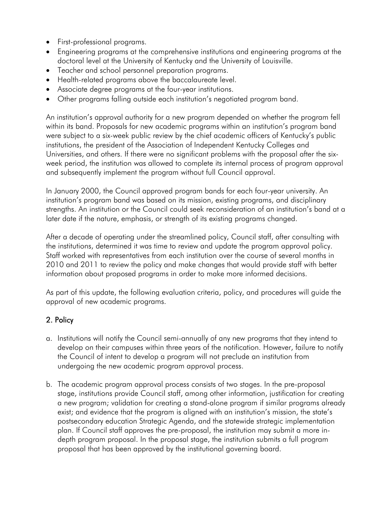- First-professional programs.
- Engineering programs at the comprehensive institutions and engineering programs at the doctoral level at the University of Kentucky and the University of Louisville.
- Teacher and school personnel preparation programs.
- Health-related programs above the baccalaureate level.
- Associate degree programs at the four-year institutions.
- Other programs falling outside each institution's negotiated program band.

An institution's approval authority for a new program depended on whether the program fell within its band. Proposals for new academic programs within an institution's program band were subject to a six-week public review by the chief academic officers of Kentucky's public institutions, the president of the Association of Independent Kentucky Colleges and Universities, and others. If there were no significant problems with the proposal after the sixweek period, the institution was allowed to complete its internal process of program approval and subsequently implement the program without full Council approval.

In January 2000, the Council approved program bands for each four-year university. An institution's program band was based on its mission, existing programs, and disciplinary strengths. An institution or the Council could seek reconsideration of an institution's band at a later date if the nature, emphasis, or strength of its existing programs changed.

After a decade of operating under the streamlined policy, Council staff, after consulting with the institutions, determined it was time to review and update the program approval policy. Staff worked with representatives from each institution over the course of several months in 2010 and 2011 to review the policy and make changes that would provide staff with better information about proposed programs in order to make more informed decisions.

As part of this update, the following evaluation criteria, policy, and procedures will guide the approval of new academic programs.

# 2. Policy

- a. Institutions will notify the Council semi-annually of any new programs that they intend to develop on their campuses within three years of the notification. However, failure to notify the Council of intent to develop a program will not preclude an institution from undergoing the new academic program approval process.
- b. The academic program approval process consists of two stages. In the pre-proposal stage, institutions provide Council staff, among other information, justification for creating a new program; validation for creating a stand-alone program if similar programs already exist; and evidence that the program is aligned with an institution's mission, the state's postsecondary education Strategic Agenda, and the statewide strategic implementation plan. If Council staff approves the pre-proposal, the institution may submit a more indepth program proposal. In the proposal stage, the institution submits a full program proposal that has been approved by the institutional governing board.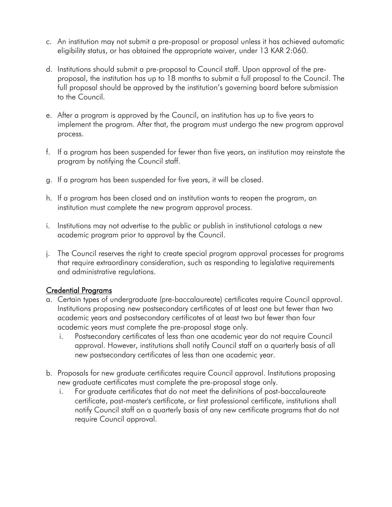- c. An institution may not submit a pre-proposal or proposal unless it has achieved automatic eligibility status, or has obtained the appropriate waiver, under 13 KAR 2:060.
- d. Institutions should submit a pre-proposal to Council staff. Upon approval of the preproposal, the institution has up to 18 months to submit a full proposal to the Council. The full proposal should be approved by the institution's governing board before submission to the Council.
- e. After a program is approved by the Council, an institution has up to five years to implement the program. After that, the program must undergo the new program approval process.
- f. If a program has been suspended for fewer than five years, an institution may reinstate the program by notifying the Council staff.
- g. If a program has been suspended for five years, it will be closed.
- h. If a program has been closed and an institution wants to reopen the program, an institution must complete the new program approval process.
- i. Institutions may not advertise to the public or publish in institutional catalogs a new academic program prior to approval by the Council.
- j. The Council reserves the right to create special program approval processes for programs that require extraordinary consideration, such as responding to legislative requirements and administrative regulations.

## Credential Programs

- a. Certain types of undergraduate (pre-baccalaureate) certificates require Council approval. Institutions proposing new postsecondary certificates of at least one but fewer than two academic years and postsecondary certificates of at least two but fewer than four academic years must complete the pre-proposal stage only.
	- i. Postsecondary certificates of less than one academic year do not require Council approval. However, institutions shall notify Council staff on a quarterly basis of all new postsecondary certificates of less than one academic year.
- b. Proposals for new graduate certificates require Council approval. Institutions proposing new graduate certificates must complete the pre-proposal stage only.
	- i. For graduate certificates that do not meet the definitions of post-baccalaureate certificate, post-master's certificate, or first professional certificate, institutions shall notify Council staff on a quarterly basis of any new certificate programs that do not require Council approval.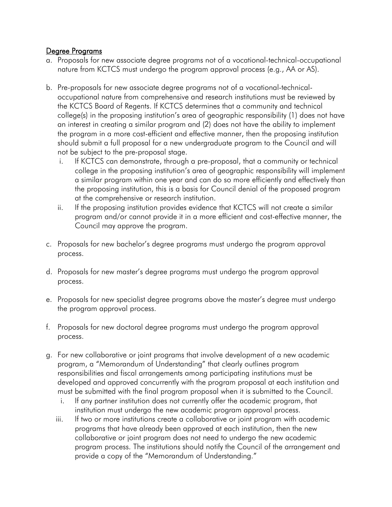#### Degree Programs

- a. Proposals for new associate degree programs not of a vocational-technical-occupational nature from KCTCS must undergo the program approval process (e.g., AA or AS).
- b. Pre-proposals for new associate degree programs not of a vocational-technicaloccupational nature from comprehensive and research institutions must be reviewed by the KCTCS Board of Regents. If KCTCS determines that a community and technical college(s) in the proposing institution's area of geographic responsibility (1) does not have an interest in creating a similar program and (2) does not have the ability to implement the program in a more cost-efficient and effective manner, then the proposing institution should submit a full proposal for a new undergraduate program to the Council and will not be subject to the pre-proposal stage.
	- i. If KCTCS can demonstrate, through a pre-proposal, that a community or technical college in the proposing institution's area of geographic responsibility will implement a similar program within one year and can do so more efficiently and effectively than the proposing institution, this is a basis for Council denial of the proposed program at the comprehensive or research institution.
	- ii. If the proposing institution provides evidence that KCTCS will not create a similar program and/or cannot provide it in a more efficient and cost-effective manner, the Council may approve the program.
- c. Proposals for new bachelor's degree programs must undergo the program approval process.
- d. Proposals for new master's degree programs must undergo the program approval process.
- e. Proposals for new specialist degree programs above the master's degree must undergo the program approval process.
- f. Proposals for new doctoral degree programs must undergo the program approval process.
- g. For new collaborative or joint programs that involve development of a new academic program, a "Memorandum of Understanding" that clearly outlines program responsibilities and fiscal arrangements among participating institutions must be developed and approved concurrently with the program proposal at each institution and must be submitted with the final program proposal when it is submitted to the Council.
	- i. If any partner institution does not currently offer the academic program, that institution must undergo the new academic program approval process.
	- iii. If two or more institutions create a collaborative or joint program with academic programs that have already been approved at each institution, then the new collaborative or joint program does not need to undergo the new academic program process. The institutions should notify the Council of the arrangement and provide a copy of the "Memorandum of Understanding."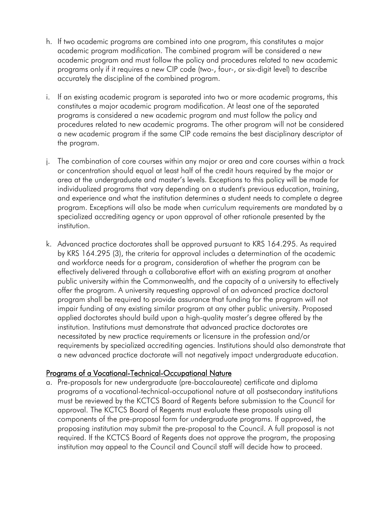- h. If two academic programs are combined into one program, this constitutes a major academic program modification. The combined program will be considered a new academic program and must follow the policy and procedures related to new academic programs only if it requires a new CIP code (two-, four-, or six-digit level) to describe accurately the discipline of the combined program.
- i. If an existing academic program is separated into two or more academic programs, this constitutes a major academic program modification. At least one of the separated programs is considered a new academic program and must follow the policy and procedures related to new academic programs. The other program will not be considered a new academic program if the same CIP code remains the best disciplinary descriptor of the program.
- j. The combination of core courses within any major or area and core courses within a track or concentration should equal at least half of the credit hours required by the major or area at the undergraduate and master's levels. Exceptions to this policy will be made for individualized programs that vary depending on a student's previous education, training, and experience and what the institution determines a student needs to complete a degree program. Exceptions will also be made when curriculum requirements are mandated by a specialized accrediting agency or upon approval of other rationale presented by the institution.
- k. Advanced practice doctorates shall be approved pursuant to KRS 164.295. As required by KRS 164.295 (3), the criteria for approval includes a determination of the academic and workforce needs for a program, consideration of whether the program can be effectively delivered through a collaborative effort with an existing program at another public university within the Commonwealth, and the capacity of a university to effectively offer the program. A university requesting approval of an advanced practice doctoral program shall be required to provide assurance that funding for the program will not impair funding of any existing similar program at any other public university. Proposed applied doctorates should build upon a high-quality master's degree offered by the institution. Institutions must demonstrate that advanced practice doctorates are necessitated by new practice requirements or licensure in the profession and/or requirements by specialized accrediting agencies. Institutions should also demonstrate that a new advanced practice doctorate will not negatively impact undergraduate education.

## Programs of a Vocational-Technical-Occupational Nature

a. Pre-proposals for new undergraduate (pre-baccalaureate) certificate and diploma programs of a vocational-technical-occupational nature at all postsecondary institutions must be reviewed by the KCTCS Board of Regents before submission to the Council for approval. The KCTCS Board of Regents must evaluate these proposals using all components of the pre-proposal form for undergraduate programs. If approved, the proposing institution may submit the pre-proposal to the Council. A full proposal is not required. If the KCTCS Board of Regents does not approve the program, the proposing institution may appeal to the Council and Council staff will decide how to proceed.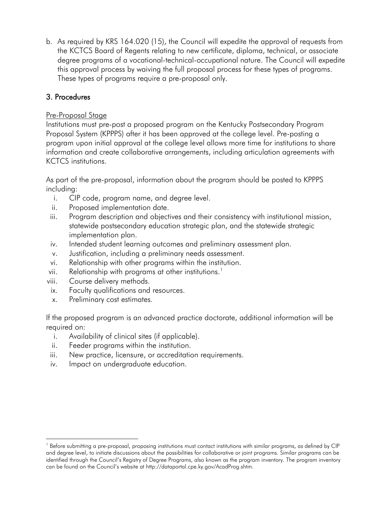b. As required by KRS 164.020 (15), the Council will expedite the approval of requests from the KCTCS Board of Regents relating to new certificate, diploma, technical, or associate degree programs of a vocational-technical-occupational nature. The Council will expedite this approval process by waiving the full proposal process for these types of programs. These types of programs require a pre-proposal only.

# 3. Procedures

## Pre-Proposal Stage

Institutions must pre-post a proposed program on the Kentucky Postsecondary Program Proposal System (KPPPS) after it has been approved at the college level. Pre-posting a program upon initial approval at the college level allows more time for institutions to share information and create collaborative arrangements, including articulation agreements with KCTCS institutions.

As part of the pre-proposal, information about the program should be posted to KPPPS including:

- i. CIP code, program name, and degree level.
- ii. Proposed implementation date.
- iii. Program description and objectives and their consistency with institutional mission, statewide postsecondary education strategic plan, and the statewide strategic implementation plan.
- iv. Intended student learning outcomes and preliminary assessment plan.
- v. Justification, including a preliminary needs assessment.
- vi. Relationship with other programs within the institution.
- vii. Relationship with programs at other institutions. $^{\text{!}}$
- viii. Course delivery methods.
- ix. Faculty qualifications and resources.
- x. Preliminary cost estimates.

 $\overline{a}$ 

If the proposed program is an advanced practice doctorate, additional information will be required on:

- i. Availability of clinical sites (if applicable).
- ii. Feeder programs within the institution.
- iii. New practice, licensure, or accreditation requirements.
- iv. Impact on undergraduate education.

 $1$  Before submitting a pre-proposal, proposing institutions must contact institutions with similar programs, as defined by CIP and degree level, to initiate discussions about the possibilities for collaborative or joint programs. Similar programs can be identified through the Council's Registry of Degree Programs, also known as the program inventory. The program inventory can be found on the Council's website at http://dataportal.cpe.ky.gov/AcadProg.shtm.